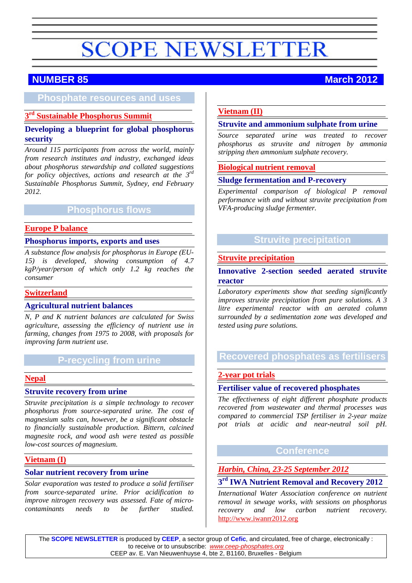# **SCOPE NEWSLETTER**

# **NUMBER 85 March 2012**

# **Phosphate resources and uses**

# **3rd [Sustainable Phosphorus Summit](#page-1-0)**

#### **Developing a blueprint for global phosphorus security**

*Around 115 participants from across the world, mainly from research institutes and industry, exchanged ideas about phosphorus stewardship and collated suggestions for policy objectives, actions and research at the 3rd Sustainable Phosphorus Summit, Sydney, end February 2012.*

# **Phosphorus flows**

#### **[Europe P balance](#page-2-0)**

#### **Phosphorus imports, exports and uses**

*A substance flow analysis for phosphorus in Europe (EU-15) is developed, showing consumption of 4.7 kgP/year/person of which only 1.2 kg reaches the consumer*

#### **[Switzerland](#page-3-0)**

#### **Agricultural nutrient balances**

*N, P and K nutrient balances are calculated for Swiss agriculture, assessing the efficiency of nutrient use in farming, changes from 1975 to 2008, with proposals for improving farm nutrient use.*

# **P-recycling from urine**

#### **[Nepal](#page-4-0)**

#### **Struvite recovery from urine**

*Struvite precipitation is a simple technology to recover phosphorus from source-separated urine. The cost of magnesium salts can, however, be a significant obstacle to financially sustainable production. Bittern, calcined magnesite rock, and wood ash were tested as possible low-cost sources of magnesium.*

#### **[Vietnam \(I\)](#page-6-0)**

#### **Solar nutrient recovery from urine**

*Solar evaporation was tested to produce a solid fertiliser from source-separated urine. Prior acidification to improve nitrogen recovery was assessed. Fate of microcontaminants needs to be further studied.*

#### **[Vietnam \(II\)](#page-7-0)**

#### **Struvite and ammonium sulphate from urine**

*Source separated urine was treated to recover phosphorus as struvite and nitrogen by ammonia stripping then ammonium sulphate recovery.*

#### **[Biological nutrient removal](#page-7-1)**

#### **Sludge fermentation and P-recovery**

*Experimental comparison of biological P removal performance with and without struvite precipitation from VFA-producing sludge fermenter.*

# **Struvite precipitation**

#### **[Struvite precipitation](#page-9-0)**

#### **Innovative 2-section seeded aerated struvite reactor**

*Laboratory experiments show that seeding significantly improves struvite precipitation from pure solutions. A 3 litre experimental reactor with an aerated column surrounded by a sedimentation zone was developed and tested using pure solutions.*

# **Recovered phosphates as fertilisers**

#### **[2-year pot trials](#page-10-0)**

#### **Fertiliser value of recovered phosphates**

*The effectiveness of eight different phosphate products recovered from wastewater and thermal processes was compared to commercial TSP fertiliser in 2-year maize pot trials at acidic and near-neutral soil pH.*

# **Conference**

#### *Harbin, China, 23-25 September 2012*

#### **3rd IWA Nutrient Removal and Recovery 2012**

*International Water Association conference on nutrient removal in sewage works, with sessions on phosphorus recovery and low carbon nutrient recovery.*  [http://www.iwanrr2012.org](http://www.iwanrr2012.org/)

The **SCOPE NEWSLETTER** is produced by **CEEP**, a sector group of **Cefic**, and circulated, free of charge, electronically : to receive or to unsubscribe: *[www.ceep-phosphates.org](http://www.ceep-phosphates.org/)* CEEP av. E. Van Nieuwenhuyse 4, bte 2, B1160, Bruxelles - Belgium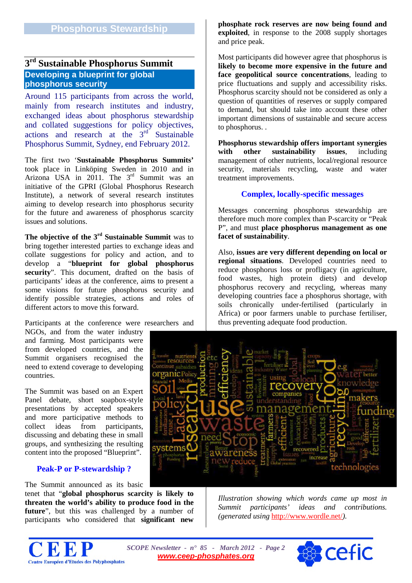# <span id="page-1-0"></span>**3rd Sustainable Phosphorus Summit Developing a blueprint for global phosphorus security**

Around 115 participants from across the world, mainly from research institutes and industry, exchanged ideas about phosphorus stewardship and collated suggestions for policy objectives, actions and research at the  $3<sup>rd</sup>$  Sustainable Phosphorus Summit, Sydney, end February 2012.

The first two '**Sustainable Phosphorus Summits'** took place in Linköping Sweden in 2010 and in Arizona USA in 2011. The 3<sup>rd</sup> Summit was an initiative of the GPRI (Global Phosphorus Research Institute), a network of several research institutes aiming to develop research into phosphorus security for the future and awareness of phosphorus scarcity issues and solutions.

**The objective of the 3rd Sustainable Summit** was to bring together interested parties to exchange ideas and collate suggestions for policy and action, and to develop a "**blueprint for global phosphorus security**". This document, drafted on the basis of participants' ideas at the conference, aims to present a some visions for future phosphorus security and identify possible strategies, actions and roles of different actors to move this forward.

Participants at the conference were researchers and

NGOs, and from the water industry and farming. Most participants were from developed countries, and the Summit organisers recognised the need to extend coverage to developing countries.

The Summit was based on an Expert Panel debate, short soapbox-style presentations by accepted speakers and more participative methods to collect ideas from participants, discussing and debating these in small groups, and synthesizing the resulting content into the proposed "Blueprint".

#### **Peak-P or P-stewardship ?**

The Summit announced as its basic

tenet that "**global phosphorus scarcity is likely to threaten the world's ability to produce food in the future**", but this was challenged by a number of participants who considered that **significant new** 

**phosphate rock reserves are now being found and exploited**, in response to the 2008 supply shortages and price peak.

Most participants did however agree that phosphorus is **likely to become more expensive in the future and face geopolitical source concentrations**, leading to price fluctuations and supply and accessibility risks. Phosphorus scarcity should not be considered as only a question of quantities of reserves or supply compared to demand, but should take into account these other important dimensions of sustainable and secure access to phosphorus. .

**Phosphorus stewardship offers important synergies with other sustainability issues**, including management of other nutrients, local/regional resource security, materials recycling, waste and water treatment improvements.

#### **Complex, locally-specific messages**

Messages concerning phosphorus stewardship are therefore much more complex than P-scarcity or "Peak P", and must **place phosphorus management as one facet of sustainability**.

Also, **issues are very different depending on local or regional situations**. Developed countries need to reduce phosphorus loss or profligacy (in agriculture, food wastes, high protein diets) and develop phosphorus recovery and recycling, whereas many developing countries face a phosphorus shortage, with soils chronically under-fertilised (particularly in Africa) or poor farmers unable to purchase fertiliser, thus preventing adequate food production.



*Illustration showing which words came up most in Summit participants' ideas and contributions. (generated using* <http://www.wordle.net/>*).* 



*SCOPE Newsletter - n° 85 - March 2012 - Page 2 [www.ceep-phosphates.org](http://www.ceep-phosphates.org/)*

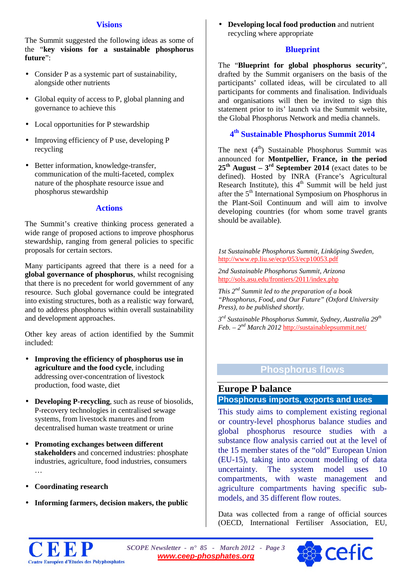#### **Visions**

The Summit suggested the following ideas as some of the "**key visions for a sustainable phosphorus future**":

- Consider P as a systemic part of sustainability, alongside other nutrients
- Global equity of access to P, global planning and governance to achieve this
- Local opportunities for P stewardship
- Improving efficiency of P use, developing P recycling
- $\ddot{\phantom{a}}$ Better information, knowledge-transfer, communication of the multi-faceted, complex nature of the phosphate resource issue and phosphorus stewardship

### **Actions**

The Summit's creative thinking process generated a wide range of proposed actions to improve phosphorus stewardship, ranging from general policies to specific proposals for certain sectors.

Many participants agreed that there is a need for a **global governance of phosphorus**, whilst recognising that there is no precedent for world government of any resource. Such global governance could be integrated into existing structures, both as a realistic way forward, and to address phosphorus within overall sustainability and development approaches.

Other key areas of action identified by the Summit included:

- **Improving the efficiency of phosphorus use in**  l, **agriculture and the food cycle**, including addressing over-concentration of livestock production, food waste, diet
- **Developing P-recycling**, such as reuse of biosolids,  $\mathcal{L}^{\pm}$ P-recovery technologies in centralised sewage systems, from livestock manures and from decentralised human waste treatment or urine
- **Promoting exchanges between different**  l, **stakeholders** and concerned industries: phosphate industries, agriculture, food industries, consumers …
- **Coordinating research**
- **Informing farmers, decision makers, the public**

**Developing local food production** and nutrient recycling where appropriate

#### **Blueprint**

The "**Blueprint for global phosphorus security**", drafted by the Summit organisers on the basis of the participants' collated ideas, will be circulated to all participants for comments and finalisation. Individuals and organisations will then be invited to sign this statement prior to its' launch via the Summit website, the Global Phosphorus Network and media channels.

# **4th Sustainable Phosphorus Summit 2014**

The next  $(4<sup>th</sup>)$  Sustainable Phosphorus Summit was announced for **Montpellier, France, in the period**   $25<sup>th</sup>$  **August** –  $3<sup>rd</sup>$  **September 2014** (exact dates to be defined). Hosted by INRA (France's Agricultural Research Institute), this  $4<sup>th</sup>$  Summit will be held just after the 5th International Symposium on Phosphorus in the Plant-Soil Continuum and will aim to involve developing countries (for whom some travel grants should be available).

*1st Sustainable Phosphorus Summit, Linköping Sweden,*  <http://www.ep.liu.se/ecp/053/ecp10053.pdf>

*2nd Sustainable Phosphorus Summit, Arizona*  <http://sols.asu.edu/frontiers/2011/index.php>

*This 2nd Summit led to the preparation of a book "Phosphorus, Food, and Our Future" (Oxford University Press), to be published shortly.*

*3rd Sustainable Phosphorus Summit, Sydney, Australia 29th Feb. – 2nd March 2012* <http://sustainablepsummit.net/>

# **Phosphorus flows**

# <span id="page-2-0"></span>**Europe P balance Phosphorus imports, exports and uses**

This study aims to complement existing regional or country-level phosphorus balance studies and global phosphorus resource studies with a substance flow analysis carried out at the level of the 15 member states of the "old" European Union (EU-15), taking into account modelling of data uncertainty. The system model uses 10 compartments, with waste management and agriculture compartments having specific submodels, and 35 different flow routes.

Data was collected from a range of official sources (OECD, International Fertiliser Association, EU,



*SCOPE Newsletter - n° 85 - March 2012 - Page 3 [www.ceep-phosphates.org](http://www.ceep-phosphates.org/)*

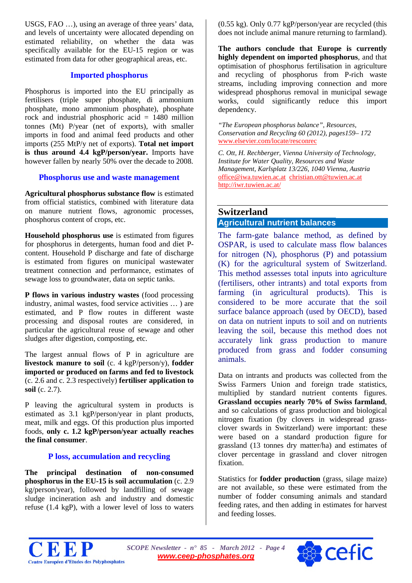USGS, FAO …), using an average of three years' data, and levels of uncertainty were allocated depending on estimated reliability, on whether the data was specifically available for the EU-15 region or was estimated from data for other geographical areas, etc.

#### **Imported phosphorus**

Phosphorus is imported into the EU principally as fertilisers (triple super phosphate, di ammonium phosphate, mono ammonium phosphate), phosphate rock and industrial phosphoric acid = 1480 million tonnes (Mt) P/year (net of exports), with smaller imports in food and animal feed products and other imports (255 MtP/y net of exports). **Total net import is thus around 4.4 kgP/person/year.** Imports have however fallen by nearly 50% over the decade to 2008.

#### **Phosphorus use and waste management**

**Agricultural phosphorus substance flow** is estimated from official statistics, combined with literature data on manure nutrient flows, agronomic processes, phosphorus content of crops, etc.

**Household phosphorus use** is estimated from figures for phosphorus in detergents, human food and diet Pcontent. Household P discharge and fate of discharge is estimated from figures on municipal wastewater treatment connection and performance, estimates of sewage loss to groundwater, data on septic tanks.

**P flows in various industry wastes** (food processing industry, animal wastes, food service activities … ) are estimated, and P flow routes in different waste processing and disposal routes are considered, in particular the agricultural reuse of sewage and other sludges after digestion, composting, etc.

The largest annual flows of P in agriculture are **livestock manure to soil** (c. 4 kgP/person/y), **fodder imported or produced on farms and fed to livestock** (c. 2.6 and c. 2.3 respectively) **fertiliser application to soil** (c. 2.7).

P leaving the agricultural system in products is estimated as 3.1 kgP/person/year in plant products, meat, milk and eggs. Of this production plus imported foods, **only c. 1.2 kgP/person/year actually reaches the final consumer**.

# **P loss, accumulation and recycling**

**The principal destination of non-consumed phosphorus in the EU-15 is soil accumulation** (c. 2.9 kg/person/year), followed by landfilling of sewage sludge incineration ash and industry and domestic refuse (1.4 kgP), with a lower level of loss to waters

(0.55 kg). Only 0.77 kgP/person/year are recycled (this does not include animal manure returning to farmland).

**The authors conclude that Europe is currently highly dependent on imported phosphorus**, and that optimisation of phosphorus fertilisation in agriculture and recycling of phosphorus from P-rich waste streams, including improving connection and more widespread phosphorus removal in municipal sewage works, could significantly reduce this import dependency.

*"The European phosphorus balance", Resources, Conservation and Recycling 60 (2012), pages159– 172*  [www.elsevier.com/locate/resconrec](http://www.elsevier.com/locate/resconrec)

*C. Ott, H. Rechberger, Vienna University of Technology, Institute for Water Quality, Resources and Waste Management, Karlsplatz 13/226, 1040 Vienna, Austria*  [office@iwa.tuwien.ac.at](mailto:office@iwa.tuwien.ac.at)[christian.ott@tuwien.ac.at](mailto:christian.ott@tuwien.ac.at) <http://iwr.tuwien.ac.at/>

# <span id="page-3-0"></span>**Switzerland Agricultural nutrient balances**

The farm-gate balance method, as defined by OSPAR, is used to calculate mass flow balances for nitrogen (N), phosphorus (P) and potassium (K) for the agricultural system of Switzerland. This method assesses total inputs into agriculture (fertilisers, other intrants) and total exports from farming (in agricultural products). This is considered to be more accurate that the soil surface balance approach (used by OECD), based on data on nutrient inputs to soil and on nutrients leaving the soil, because this method does not accurately link grass production to manure produced from grass and fodder consuming animals.

Data on intrants and products was collected from the Swiss Farmers Union and foreign trade statistics, multiplied by standard nutrient contents figures. **Grassland occupies nearly 70% of Swiss farmland**, and so calculations of grass production and biological nitrogen fixation (by clovers in widespread grassclover swards in Switzerland) were important: these were based on a standard production figure for grassland (13 tonnes dry matter/ha) and estimates of clover percentage in grassland and clover nitrogen fixation.

Statistics for **fodder production** (grass, silage maize) are not available, so these were estimated from the number of fodder consuming animals and standard feeding rates, and then adding in estimates for harvest and feeding losses.



*SCOPE Newsletter - n° 85 - March 2012 - Page 4 [www.ceep-phosphates.org](http://www.ceep-phosphates.org/)*

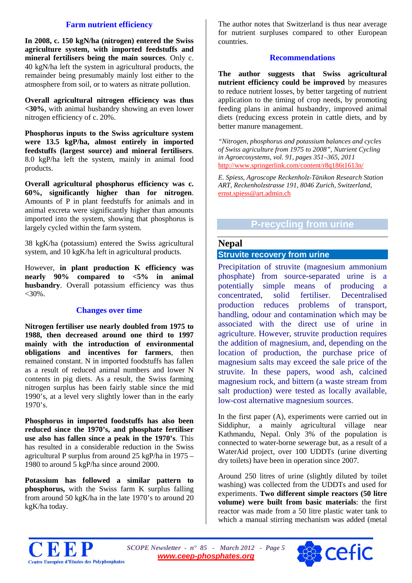#### **Farm nutrient efficiency**

**In 2008, c. 150 kgN/ha (nitrogen) entered the Swiss agriculture system, with imported feedstuffs and mineral fertilisers being the main sources**. Only c. 40 kgN/ha left the system in agricultural products, the remainder being presumably mainly lost either to the atmosphere from soil, or to waters as nitrate pollution.

**Overall agricultural nitrogen efficiency was thus <30%**, with animal husbandry showing an even lower nitrogen efficiency of c. 20%.

**Phosphorus inputs to the Swiss agriculture system were 13.5 kgP/ha, almost entirely in imported feedstuffs (largest source) and mineral fertilisers**. 8.0 kgP/ha left the system, mainly in animal food products.

**Overall agricultural phosphorus efficiency was c. 60%, significantly higher than for nitrogen**. Amounts of P in plant feedstuffs for animals and in animal excreta were significantly higher than amounts imported into the system, showing that phosphorus is largely cycled within the farm system.

38 kgK/ha (potassium) entered the Swiss agricultural system, and 10 kgK/ha left in agricultural products.

However, **in plant production K efficiency was nearly 90% compared to <5% in animal husbandry**. Overall potassium efficiency was thus  $<30\%$ .

#### **Changes over time**

**Nitrogen fertiliser use nearly doubled from 1975 to 1988, then decreased around one third to 1997 mainly with the introduction of environmental obligations and incentives for farmers**, then remained constant. N in imported foodstuffs has fallen as a result of reduced animal numbers and lower N contents in pig diets. As a result, the Swiss farming nitrogen surplus has been fairly stable since the mid 1990's, at a level very slightly lower than in the early 1970's.

**Phosphorus in imported foodstuffs has also been reduced since the 1970's, and phosphate fertiliser use also has fallen since a peak in the 1970's**. This has resulted in a considerable reduction in the Swiss agricultural P surplus from around 25 kgP/ha in 1975 – 1980 to around 5 kgP/ha since around 2000.

**Potassium has followed a similar pattern to phosphorus,** with the Swiss farm K surplus falling from around 50 kgK/ha in the late 1970's to around 20 kgK/ha today.

The author notes that Switzerland is thus near average for nutrient surpluses compared to other European countries.

#### **Recommendations**

**The author suggests that Swiss agricultural nutrient efficiency could be improved** by measures to reduce nutrient losses, by better targeting of nutrient application to the timing of crop needs, by promoting feeding plans in animal husbandry, improved animal diets (reducing excess protein in cattle diets, and by better manure management.

*"Nitrogen, phosphorus and potassium balances and cycles of Swiss agriculture from 1975 to 2008", Nutrient Cycling in Agroecosystems, vol. 91, pages 351–365, 2011*  <http://www.springerlink.com/content/r8q186t1613n/>

*E. Spiess, Agroscope Reckenholz-Tänikon Research Station ART, Reckenholzstrasse 191, 8046 Zurich, Switzerland,* [ernst.spiess@art.admin.ch](mailto:ernst.spiess@art.admin.ch)

# **P-recycling from urine**

#### **Nepal**

# <span id="page-4-0"></span>**Struvite recovery from urine**

Precipitation of struvite (magnesium ammonium phosphate) from source-separated urine is a potentially simple means of producing a concentrated, solid fertiliser. Decentralised production reduces problems of transport, handling, odour and contamination which may be associated with the direct use of urine in agriculture. However, struvite production requires the addition of magnesium, and, depending on the location of production, the purchase price of magnesium salts may exceed the sale price of the struvite. In these papers, wood ash, calcined magnesium rock, and bittern (a waste stream from salt production) were tested as locally available, low-cost alternative magnesium sources.

In the first paper (A), experiments were carried out in Siddiphur, a mainly agricultural village near Kathmandu, Nepal. Only 3% of the population is connected to water-borne sewerage but, as a result of a WaterAid project, over 100 UDDTs (urine diverting dry toilets) have been in operation since 2007.

Around 250 litres of urine (slightly diluted by toilet washing) was collected from the UDDTs and used for experiments. **Two different simple reactors (50 litre volume) were built from basic materials**: the first reactor was made from a 50 litre plastic water tank to which a manual stirring mechanism was added (metal



*SCOPE Newsletter - n° 85 - March 2012 - Page 5 [www.ceep-phosphates.org](http://www.ceep-phosphates.org/)*

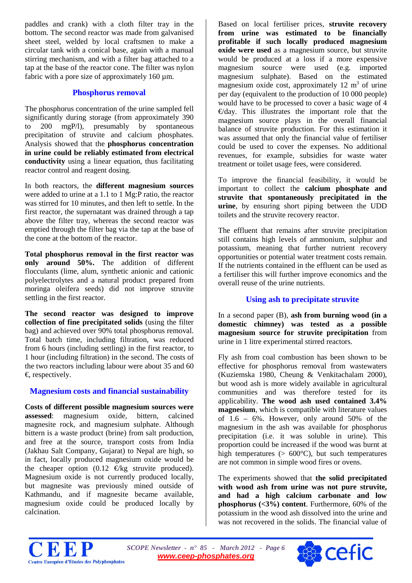paddles and crank) with a cloth filter tray in the bottom. The second reactor was made from galvanised sheet steel, welded by local craftsmen to make a circular tank with a conical base, again with a manual stirring mechanism, and with a filter bag attached to a tap at the base of the reactor cone. The filter was nylon fabric with a pore size of approximately  $160 \mu m$ .

#### **Phosphorus removal**

The phosphorus concentration of the urine sampled fell significantly during storage (from approximately 390 to 200 mgP/l), presumably by spontaneous precipitation of struvite and calcium phosphates. Analysis showed that the **phosphorus concentration in urine could be reliably estimated from electrical conductivity** using a linear equation, thus facilitating reactor control and reagent dosing.

In both reactors, the **different magnesium sources** were added to urine at a 1.1 to 1 Mg:P ratio, the reactor was stirred for 10 minutes, and then left to settle. In the first reactor, the supernatant was drained through a tap above the filter tray, whereas the second reactor was emptied through the filter bag via the tap at the base of the cone at the bottom of the reactor.

**Total phosphorus removal in the first reactor was only around 50%.** The addition of different flocculants (lime, alum, synthetic anionic and cationic polyelectrolytes and a natural product prepared from moringa oleifera seeds) did not improve struvite settling in the first reactor.

**The second reactor was designed to improve collection of fine precipitated solids** (using the filter bag) and achieved over 90% total phosphorus removal. Total batch time, including filtration, was reduced from 6 hours (including settling) in the first reactor, to 1 hour (including filtration) in the second. The costs of the two reactors including labour were about 35 and 60  $\epsilon$  respectively.

# **Magnesium costs and financial sustainability**

**Costs of different possible magnesium sources were assessed**: magnesium oxide, bittern, calcined magnesite rock, and magnesium sulphate. Although bittern is a waste product (brine) from salt production, and free at the source, transport costs from India (Jakhau Salt Company, Gujarat) to Nepal are high, so in fact, locally produced magnesium oxide would be the cheaper option  $(0.12 \text{ Ekg} \text{ struvite produced}).$ Magnesium oxide is not currently produced locally, but magnesite was previously mined outside of Kathmandu, and if magnesite became available, magnesium oxide could be produced locally by calcination.

Based on local fertiliser prices, **struvite recovery from urine was estimated to be financially profitable if such locally produced magnesium oxide were used** as a magnesium source, but struvite would be produced at a loss if a more expensive magnesium source were used (e.g. imported magnesium sulphate). Based on the estimated magnesium oxide cost, approximately  $12 \text{ m}^3$  of urine per day (equivalent to the production of 10 000 people) would have to be processed to cover a basic wage of 4  $\Theta$ day. This illustrates the important role that the magnesium source plays in the overall financial balance of struvite production. For this estimation it was assumed that only the financial value of fertiliser could be used to cover the expenses. No additional revenues, for example, subsidies for waste water treatment or toilet usage fees, were considered.

To improve the financial feasibility, it would be important to collect the **calcium phosphate and struvite that spontaneously precipitated in the urine**, by ensuring short piping between the UDD toilets and the struvite recovery reactor.

The effluent that remains after struvite precipitation still contains high levels of ammonium, sulphur and potassium, meaning that further nutrient recovery opportunities or potential water treatment costs remain. If the nutrients contained in the effluent can be used as a fertiliser this will further improve economics and the overall reuse of the urine nutrients.

# **Using ash to precipitate struvite**

In a second paper (B), **ash from burning wood (in a domestic chimney) was tested as a possible magnesium source for struvite precipitation** from urine in 1 litre experimental stirred reactors.

Fly ash from coal combustion has been shown to be effective for phosphorus removal from wastewaters (Kuziemska 1980, Cheung & Venkitachalam 2000), but wood ash is more widely available in agricultural communities and was therefore tested for its applicability. **The wood ash used contained 3.4% magnesium**, which is compatible with literature values of 1.6 – 6%. However, only around 50% of the magnesium in the ash was available for phosphorus precipitation (i.e. it was soluble in urine). This proportion could be increased if the wood was burnt at high temperatures ( $> 600^{\circ}$ C), but such temperatures are not common in simple wood fires or ovens.

The experiments showed that **the solid precipitated with wood ash from urine was not pure struvite, and had a high calcium carbonate and low phosphorus (<3%) content**. Furthermore, 60% of the potassium in the wood ash dissolved into the urine and was not recovered in the solids. The financial value of



*SCOPE Newsletter - n° 85 - March 2012 - Page 6 [www.ceep-phosphates.org](http://www.ceep-phosphates.org/)*

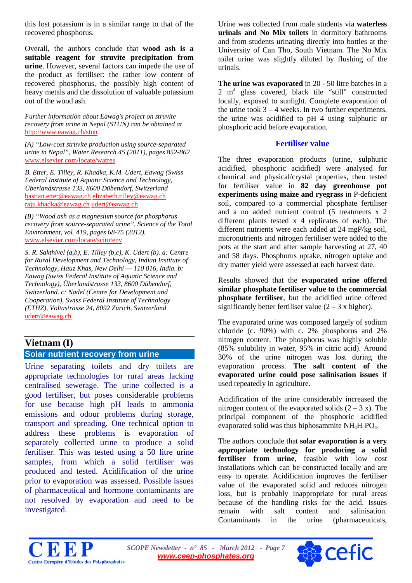this lost potassium is in a similar range to that of the recovered phosphorus.

Overall, the authors conclude that **wood ash is a suitable reagent for struvite precipitation from urine**. However, several factors can impede the use of the product as fertiliser: the rather low content of recovered phosphorus, the possibly high content of heavy metals and the dissolution of valuable potassium out of the wood ash.

*Further information about Eawag's project on struvite recovery from urine in Nepal (STUN) can be obtained at*  <http://www.eawag.ch/stun>

*(A) "Low-cost struvite production using source-separated urine in Nepal", Water Research 45 (2011), pages 852-862*  [www.elsevier.com/locate/watres](http://www.elsevier.com/locate/watres)

*B. Etter, E. Tilley, R. Khadka, K.M. Udert, Eawag (Swiss Federal Institute of Aquatic Science and Technology, Überlandstrasse 133, 8600 Dübendorf, Switzerland* [bastian.etter@eawag.ch](mailto:bastian.etter@eawag.ch) [elizabeth.tilley@eawag.ch](mailto:elizabeth.tilley@eawag.ch) [raju.khadka@eawag.ch](mailto:raju.khadka@eawag.ch) [udert@eawag.ch](mailto:udert@eawag.ch)

*(B) "Wood ash as a magnesium source for phosphorus recovery from source-separated urine", Science of the Total Environment, vol. 419, pages 68-75 (2012).*  [www.elsevier.com/locate/scitotenv](http://www.elsevier.com/locate/scitotenv)

*S. R. Sakthivel (a,b), E. Tilley (b,c), K. Udert (b). a: Centre for Rural Development and Technology, Indian Institute of Technology, Hauz Khas, New Delhi — 110 016, India. b: Eawag (Swiss Federal Institute of Aquatic Science and Technology), Überlandstrasse 133, 8600 Dübendorf, Switzerland. c: Nadel (Centre for Development and Cooperation), Swiss Federal Institute of Technology (ETHZ), Voltastrasse 24, 8092 Zürich, Switzerland* [udert@eawag.ch](mailto:udert@eawag.ch)

# <span id="page-6-0"></span>**Vietnam (I) Solar nutrient recovery from urine**

Urine separating toilets and dry toilets are appropriate technologies for rural areas lacking centralised sewerage. The urine collected is a good fertiliser, but poses considerable problems for use because high pH leads to ammonia emissions and odour problems during storage, transport and spreading. One technical option to address these problems is evaporation of separately collected urine to produce a solid fertiliser. This was tested using a 50 litre urine samples, from which a solid fertiliser was produced and tested. Acidification of the urine prior to evaporation was assessed. Possible issues of pharmaceutical and hormone contaminants are not resolved by evaporation and need to be investigated.

Urine was collected from male students via **waterless urinals and No Mix toilets** in dormitory bathrooms and from students urinating directly into bottles at the University of Can Tho, South Vietnam. The No Mix toilet urine was slightly diluted by flushing of the urinals.

**The urine was evaporated** in 20 - 50 litre batches in a 2 m2 glass covered, black tile "still" constructed locally, exposed to sunlight. Complete evaporation of the urine took  $3 - 4$  weeks. In two further experiments, the urine was acidified to pH 4 using sulphuric or phosphoric acid before evaporation.

# **Fertiliser value**

The three evaporation products (urine, sulphuric acidified, phosphoric acidified) were analysed for chemical and physical/crystal properties, then tested for fertiliser value in **82 day greenhouse pot experiments using maize and ryegrass** in P-deficient soil, compared to a commercial phosphate fertiliser and a no added nutrient control (5 treatments x 2 different plants tested x 4 replicates of each). The different nutrients were each added at 24 mgP/kg soil, micronutrients and nitrogen fertiliser were added to the pots at the start and after sample harvesting at 27, 40 and 58 days. Phosphorus uptake, nitrogen uptake and dry matter yield were assessed at each harvest date.

Results showed that the **evaporated urine offered similar phosphate fertiliser value to the commercial phosphate fertiliser**, but the acidified urine offered significantly better fertiliser value  $(2 – 3x)$  higher).

The evaporated urine was composed largely of sodium chloride (c. 90%) with c. 2% phosphorus and 2% nitrogen content. The phosphorus was highly soluble (85% solubility in water, 95% in citric acid). Around 30% of the urine nitrogen was lost during the evaporation process. **The salt content of the evaporated urine could pose salinisation issues** if used repeatedly in agriculture.

Acidification of the urine considerably increased the nitrogen content of the evaporated solids  $(2 - 3 x)$ . The principal component of the phosphoric acidified evaporated solid was thus biphosammite  $NH<sub>4</sub>H<sub>2</sub>PO<sub>4</sub>$ .

The authors conclude that **solar evaporation is a very appropriate technology for producing a solid fertiliser from urine**, feasible with low cost installations which can be constructed locally and are easy to operate. Acidification improves the fertiliser value of the evaporated solid and reduces nitrogen loss, but is probably inappropriate for rural areas because of the handling risks for the acid. Issues remain with salt content and salinisation.<br>Contaminants in the urine (pharmaceuticals, Contaminants in the urine (pharmaceuticals,

*SCOPE Newsletter - n° 85 - March 2012 - Page 7 [www.ceep-phosphates.org](http://www.ceep-phosphates.org/)*

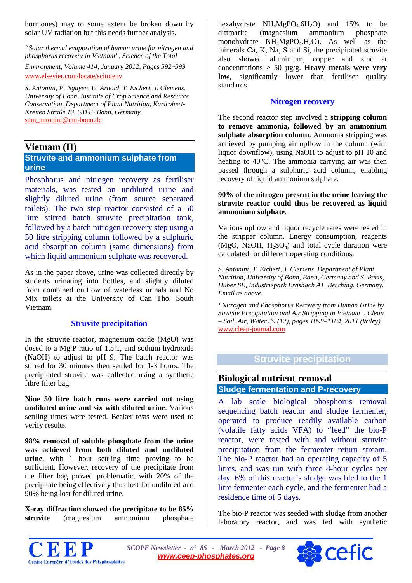hormones) may to some extent be broken down by solar UV radiation but this needs further analysis.

*"Solar thermal evaporation of human urine for nitrogen and phosphorus recovery in Vietnam", Science of the Total* 

*Environment, Volume 414, January 2012, Pages 592*–*599* [www.elsevier.com/locate/scitotenv](http://www.elsevier.com/locate/scitotenv)

*S. Antonini, P. Nguyen, U. Arnold, T. Eichert, J. Clemens, University of Bonn, Institute of Crop Science and Resource Conservation, Department of Plant Nutrition, Karlrobert-Kreiten Straße 13, 53115 Bonn, Germany*  [sam\\_antonini@uni-bonn.de](mailto:sam_antonini@uni-bonn.de)

# **Vietnam (II)**

#### <span id="page-7-0"></span>**Struvite and ammonium sulphate from urine**

Phosphorus and nitrogen recovery as fertiliser materials, was tested on undiluted urine and slightly diluted urine (from source separated toilets). The two step reactor consisted of a 50 litre stirred batch struvite precipitation tank, followed by a batch nitrogen recovery step using a 50 litre stripping column followed by a sulphuric acid absorption column (same dimensions) from which liquid ammonium sulphate was recovered.

As in the paper above, urine was collected directly by students urinating into bottles, and slightly diluted from combined outflow of waterless urinals and No Mix toilets at the University of Can Tho, South Vietnam.

#### **Struvite precipitation**

In the struvite reactor, magnesium oxide (MgO) was dosed to a Mg:P ratio of 1.5:1, and sodium hydroxide (NaOH) to adjust to pH 9. The batch reactor was stirred for 30 minutes then settled for 1-3 hours. The precipitated struvite was collected using a synthetic fibre filter bag.

**Nine 50 litre batch runs were carried out using undiluted urine and six with diluted urine**. Various settling times were tested. Beaker tests were used to verify results.

**98% removal of soluble phosphate from the urine was achieved from both diluted and undiluted urine**, with 1 hour settling time proving to be sufficient. However, recovery of the precipitate from the filter bag proved problematic, with 20% of the precipitate being effectively thus lost for undiluted and 90% being lost for diluted urine.

**X-ray diffraction showed the precipitate to be 85% struvite** (magnesium ammonium phosphate

hexahydrate  $NH_4MgPO_4.6H_2O$  and 15% to be dittmarite (magnesium ammonium phosphate monohydrate NH4MgPO4.H2O). As well as the minerals Ca, K, Na, S and Si, the precipitated struvite also showed aluminium, copper and zinc at concentrations > 50 µg/g. **Heavy metals were very low**, significantly lower than fertiliser quality standards.

#### **Nitrogen recovery**

The second reactor step involved a **stripping column to remove ammonia, followed by an ammonium sulphate absorption column**. Ammonia stripping was achieved by pumping air upflow in the column (with liquor downflow), using NaOH to adjust to pH 10 and heating to 40°C. The ammonia carrying air was then passed through a sulphuric acid column, enabling recovery of liquid ammonium sulphate.

#### **90% of the nitrogen present in the urine leaving the struvite reactor could thus be recovered as liquid ammonium sulphate**.

Various upflow and liquor recycle rates were tested in the stripper column. Energy consumption, reagents (MgO, NaOH,  $H_2SO_4$ ) and total cycle duration were calculated for different operating conditions.

*S. Antonini, T. Eichert, J. Clemens, Department of Plant Nutrition, University of Bonn, Bonn, Germany and S. Paris, Huber SE, Industriepark Erasbach A1, Berching, Germany. Email as above.*

*"Nitrogen and Phosphorus Recovery from Human Urine by Struvite Precipitation and Air Stripping in Vietnam", Clean – Soil, Air, Water 39 (12), pages 1099–1104, 2011 (Wiley)*  [www.clean-journal.com](http://www.clean-journal.com/)

# **Struvite precipitation**

# <span id="page-7-1"></span>**Biological nutrient removal Sludge fermentation and P-recovery**

A lab scale biological phosphorus removal sequencing batch reactor and sludge fermenter, operated to produce readily available carbon (volatile fatty acids VFA) to "feed" the bio-P reactor, were tested with and without struvite precipitation from the fermenter return stream. The bio-P reactor had an operating capacity of 5 litres, and was run with three 8-hour cycles per day. 6% of this reactor's sludge was bled to the 1 litre fermenter each cycle, and the fermenter had a residence time of 5 days.

The bio-P reactor was seeded with sludge from another laboratory reactor, and was fed with synthetic



*SCOPE Newsletter - n° 85 - March 2012 - Page 8 [www.ceep-phosphates.org](http://www.ceep-phosphates.org/)*

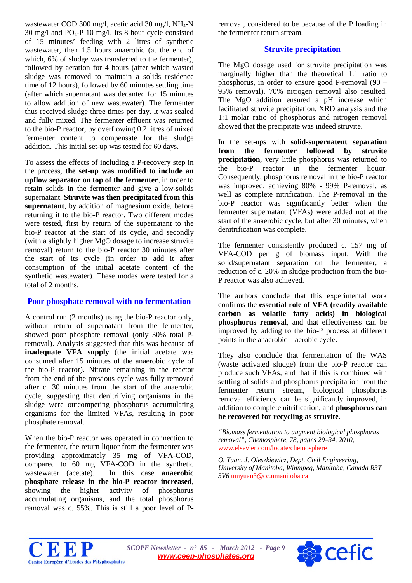wastewater COD 300 mg/l, acetic acid 30 mg/l, NH4-N 30 mg/l and  $PQ_4-P$  10 mg/l. Its 8 hour cycle consisted of 15 minutes' feeding with 2 litres of synthetic wastewater, then 1.5 hours anaerobic (at the end of which, 6% of sludge was transferred to the fermenter), followed by aeration for 4 hours (after which wasted sludge was removed to maintain a solids residence time of 12 hours), followed by 60 minutes settling time (after which supernatant was decanted for 15 minutes to allow addition of new wastewater). The fermenter thus received sludge three times per day. It was sealed and fully mixed. The fermenter effluent was returned to the bio-P reactor, by overflowing 0.2 litres of mixed fermenter content to compensate for the sludge addition. This initial set-up was tested for 60 days.

To assess the effects of including a P-recovery step in the process, **the set-up was modified to include an upflow separator on top of the fermenter**, in order to retain solids in the fermenter and give a low-solids supernatant. **Struvite was then precipitated from this supernatant**, by addition of magnesium oxide, before returning it to the bio-P reactor. Two different modes were tested, first by return of the supernatant to the bio-P reactor at the start of its cycle, and secondly (with a slightly higher MgO dosage to increase struvite removal) return to the bio-P reactor 30 minutes after the start of its cycle (in order to add it after consumption of the initial acetate content of the synthetic wastewater). These modes were tested for a total of 2 months.

#### **Poor phosphate removal with no fermentation**

A control run (2 months) using the bio-P reactor only, without return of supernatant from the fermenter, showed poor phosphate removal (only 30% total Premoval). Analysis suggested that this was because of **inadequate VFA supply** (the initial acetate was consumed after 15 minutes of the anaerobic cycle of the bio-P reactor). Nitrate remaining in the reactor from the end of the previous cycle was fully removed after c. 30 minutes from the start of the anaerobic cycle, suggesting that denitrifying organisms in the sludge were outcompeting phosphorus accumulating organisms for the limited VFAs, resulting in poor phosphate removal.

When the bio-P reactor was operated in connection to the fermenter, the return liquor from the fermenter was providing approximately 35 mg of VFA-COD, compared to 60 mg VFA-COD in the synthetic wastewater (acetate). In this case **anaerobic phosphate release in the bio-P reactor increased**, showing the higher activity of phosphorus accumulating organisms, and the total phosphorus removal was c. 55%. This is still a poor level of P- removal, considered to be because of the P loading in the fermenter return stream.

#### **Struvite precipitation**

The MgO dosage used for struvite precipitation was marginally higher than the theoretical 1:1 ratio to phosphorus, in order to ensure good P-removal (90 – 95% removal). 70% nitrogen removal also resulted. The MgO addition ensured a pH increase which facilitated struvite precipitation. XRD analysis and the 1:1 molar ratio of phosphorus and nitrogen removal showed that the precipitate was indeed struvite.

In the set-ups with **solid-supernatent separation from the fermenter followed by struvite precipitation**, very little phosphorus was returned to the bio-P reactor in the fermenter liquor. Consequently, phosphorus removal in the bio-P reactor was improved, achieving 80% - 99% P-removal, as well as complete nitrification. The P-removal in the bio-P reactor was significantly better when the fermenter supernatant (VFAs) were added not at the start of the anaerobic cycle, but after 30 minutes, when denitrification was complete.

The fermenter consistently produced c. 157 mg of VFA-COD per g of biomass input. With the solid/supernatant separation on the fermenter, a reduction of c. 20% in sludge production from the bio-P reactor was also achieved.

The authors conclude that this experimental work confirms the **essential role of VFA (readily available carbon as volatile fatty acids) in biological phosphorus removal**, and that effectiveness can be improved by adding to the bio-P process at different points in the anaerobic – aerobic cycle.

They also conclude that fermentation of the WAS (waste activated sludge) from the bio-P reactor can produce such VFAs, and that if this is combined with settling of solids and phosphorus precipitation from the fermenter return stream, biological phosphorus removal efficiency can be significantly improved, in addition to complete nitrification, and **phosphorus can be recovered for recycling as struvite**.

*"Biomass fermentation to augment biological phosphorus removal", Chemosphere, 78, pages 29–34, 2010,* [www.elsevier.com/locate/chemosphere](http://www.elsevier.com/locate/chemosphere)

*Q. Yuan, J. Oleszkiewicz, Dept. Civil Engineering, University of Manitoba, Winnipeg, Manitoba, Canada R3T 5V6* [umyuan3@cc.umanitoba.ca](mailto:umyuan3@cc.umanitoba.ca)



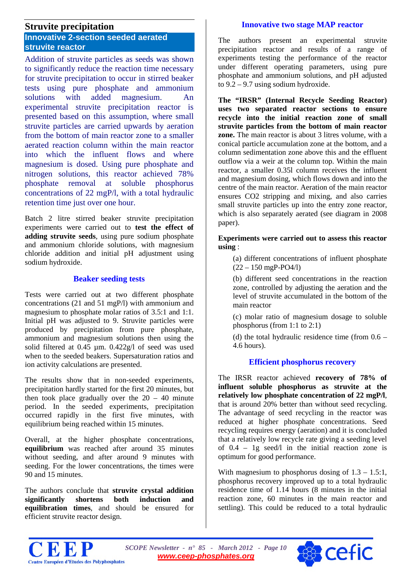# **Struvite precipitation**

## <span id="page-9-0"></span>**Innovative 2-section seeded aerated struvite reactor**

Addition of struvite particles as seeds was shown to significantly reduce the reaction time necessary for struvite precipitation to occur in stirred beaker tests using pure phosphate and ammonium solutions with added magnesium. An experimental struvite precipitation reactor is presented based on this assumption, where small struvite particles are carried upwards by aeration from the bottom of main reactor zone to a smaller aerated reaction column within the main reactor into which the influent flows and where magnesium is dosed. Using pure phosphate and nitrogen solutions, this reactor achieved 78% phosphate removal at soluble phosphorus concentrations of 22 mgP/l, with a total hydraulic retention time just over one hour.

Batch 2 litre stirred beaker struvite precipitation experiments were carried out to **test the effect of adding struvite seeds**, using pure sodium phosphate and ammonium chloride solutions, with magnesium chloride addition and initial pH adjustment using sodium hydroxide.

#### **Beaker seeding tests**

Tests were carried out at two different phosphate concentrations (21 and 51 mgP/l) with ammonium and magnesium to phosphate molar ratios of 3.5:1 and 1:1. Initial pH was adjusted to 9. Struvite particles were produced by precipitation from pure phosphate, ammonium and magnesium solutions then using the solid filtered at 0.45 µm. 0.422g/l of seed was used when to the seeded beakers. Supersaturation ratios and ion activity calculations are presented.

The results show that in non-seeded experiments, precipitation hardly started for the first 20 minutes, but then took place gradually over the  $20 - 40$  minute period. In the seeded experiments, precipitation occurred rapidly in the first five minutes, with equilibrium being reached within 15 minutes.

Overall, at the higher phosphate concentrations, **equilibrium** was reached after around 35 minutes without seeding, and after around 9 minutes with seeding. For the lower concentrations, the times were 90 and 15 minutes.

The authors conclude that **struvite crystal addition significantly shortens both induction and equilibration times**, and should be ensured for efficient struvite reactor design.

#### **Innovative two stage MAP reactor**

The authors present an experimental struvite precipitation reactor and results of a range of experiments testing the performance of the reactor under different operating parameters, using pure phosphate and ammonium solutions, and pH adjusted to 9.2 – 9.7 using sodium hydroxide.

**The "IRSR" (Internal Recycle Seeding Reactor) uses two separated reactor sections to ensure recycle into the initial reaction zone of small struvite particles from the bottom of main reactor zone.** The main reactor is about 3 litres volume, with a conical particle accumulation zone at the bottom, and a column sedimentation zone above this and the effluent outflow via a weir at the column top. Within the main reactor, a smaller 0.35l column receives the influent and magnesium dosing, which flows down and into the centre of the main reactor. Aeration of the main reactor ensures CO2 stripping and mixing, and also carries small struvite particles up into the entry zone reactor, which is also separately aerated (see diagram in 2008 paper).

**Experiments were carried out to assess this reactor using** :

(a) different concentrations of influent phosphate  $(22 - 150 \text{ mgP-PO4/l})$ 

(b) different seed concentrations in the reaction zone, controlled by adjusting the aeration and the level of struvite accumulated in the bottom of the main reactor

(c) molar ratio of magnesium dosage to soluble phosphorus (from 1:1 to 2:1)

(d) the total hydraulic residence time (from  $0.6 -$ 4.6 hours).

#### **Efficient phosphorus recovery**

The IRSR reactor achieved **recovery of 78% of influent soluble phosphorus as struvite at the relatively low phosphate concentration of 22 mgP/l**, that is around 20% better than without seed recycling. The advantage of seed recycling in the reactor was reduced at higher phosphate concentrations. Seed recycling requires energy (aeration) and it is concluded that a relatively low recycle rate giving a seeding level of  $0.4 - 1g$  seed/l in the initial reaction zone is optimum for good performance.

With magnesium to phosphorus dosing of  $1.3 - 1.5:1$ , phosphorus recovery improved up to a total hydraulic residence time of 1.14 hours (8 minutes in the initial reaction zone, 60 minutes in the main reactor and settling). This could be reduced to a total hydraulic



*SCOPE Newsletter - n° 85 - March 2012 - Page 10 [www.ceep-phosphates.org](http://www.ceep-phosphates.org/)*

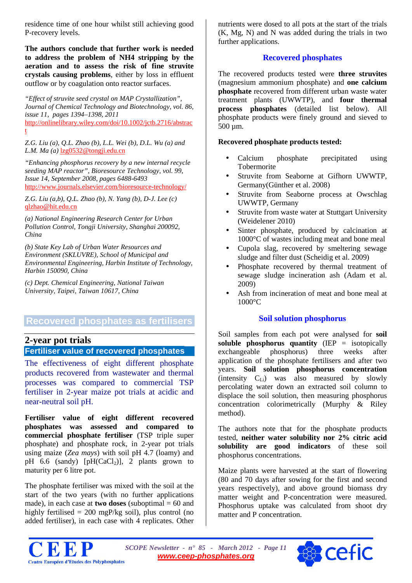residence time of one hour whilst still achieving good P-recovery levels.

**The authors conclude that further work is needed to address the problem of NH4 stripping by the aeration and to assess the risk of fine struvite crystals causing problems**, either by loss in effluent outflow or by coagulation onto reactor surfaces.

*"Effect of struvite seed crystal on MAP Crystallization", Journal of Chemical Technology and Biotechnology, vol. 86, issue 11, pages 1394–1398, 2011*  [http://onlinelibrary.wiley.com/doi/10.1002/jctb.2716/abstrac](http://onlinelibrary.wiley.com/doi/10.1002/jctb.2716/abstract)

[t](http://onlinelibrary.wiley.com/doi/10.1002/jctb.2716/abstract)

*Z.G. Liu (a), Q.L. Zhao (b), L.L. Wei (b), D.L. Wu (a) and L.M. Ma (a)* [lzg0532@tongji.edu.cn](mailto:lzg0532@tongji.edu.cn)

*"Enhancing phosphorus recovery by a new internal recycle seeding MAP reactor", Bioresource Technology, vol. 99, Issue 14, September 2008, pages 6488-6493*  <http://www.journals.elsevier.com/bioresource-technology/>

*Z.G. Liu (a,b), Q.L. Zhao (b), N. Yang (b), D-J. Lee (c)*  [qlzhao@hit.edu.cn](mailto:qlzhao@hit.edu.cn)

*(a) National Engineering Research Center for Urban Pollution Control, Tongji University, Shanghai 200092, China*

*(b) State Key Lab of Urban Water Resources and Environment (SKLUVRE), School of Municipal and Environmental Engineering, Harbin Institute of Technology, Harbin 150090, China*

*(c) Dept. Chemical Engineering, National Taiwan University, Taipei, Taiwan 10617, China* 

# **Recovered phosphates as fertilisers**

# **2-year pot trials**

# <span id="page-10-0"></span>**Fertiliser value of recovered phosphates**

The effectiveness of eight different phosphate products recovered from wastewater and thermal processes was compared to commercial TSP fertiliser in 2-year maize pot trials at acidic and near-neutral soil pH.

**Fertiliser value of eight different recovered phosphates was assessed and compared to commercial phosphate fertiliser** (TSP triple super phosphate) and phosphate rock, in 2-year pot trials using maize (*Zea mays*) with soil pH 4.7 (loamy) and pH 6.6 (sandy)  $[pH(CaCl<sub>2</sub>)]$ , 2 plants grown to maturity per 6 litre pot.

The phosphate fertiliser was mixed with the soil at the start of the two years (with no further applications made), in each case at **two doses** (suboptimal  $= 60$  and highly fertilised = 200 mgP/kg soil), plus control (no added fertiliser), in each case with 4 replicates. Other nutrients were dosed to all pots at the start of the trials (K, Mg, N) and N was added during the trials in two further applications.

#### **Recovered phosphates**

The recovered products tested were **three struvites** (magnesium ammonium phosphate) and **one calcium phosphate** recovered from different urban waste water treatment plants (UWWTP), and **four thermal process phosphates** (detailed list below). All phosphate products were finely ground and sieved to 500 µm.

#### **Recovered phosphate products tested:**

- Calcium phosphate precipitated using **Tobermorite**
- Struvite from Seaborne at Gifhorn UWWTP, Germany(Günther et al. 2008)
- Struvite from Seaborne process at Owschlag UWWTP, Germany
- Struvite from waste water at Stuttgart University (Weidelener 2010)
- Sinter phosphate, produced by calcination at 1000°C of wastes including meat and bone meal
- Cupola slag, recovered by smeltering sewage sludge and filter dust (Scheidig et al. 2009)
- Phosphate recovered by thermal treatment of sewage sludge incineration ash (Adam et al. 2009)
- Ash from incineration of meat and bone meal at 1000°C

#### **Soil solution phosphorus**

Soil samples from each pot were analysed for **soil soluble phosphorus quantity** (IEP = isotopically exchangeable phosphorus) three weeks after application of the phosphate fertilisers and after two years. **Soil solution phosphorus concentration** (intensity  $C_{Li}$ ) was also measured by slowly percolating water down an extracted soil column to displace the soil solution, then measuring phosphorus concentration colorimetrically (Murphy & Riley method).

The authors note that for the phosphate products tested, **neither water solubility nor 2% citric acid solubility are good indicators** of these soil phosphorus concentrations.

Maize plants were harvested at the start of flowering (80 and 70 days after sowing for the first and second years respectively), and above ground biomass dry matter weight and P-concentration were measured. Phosphorus uptake was calculated from shoot dry matter and P concentration.



*SCOPE Newsletter - n° 85 - March 2012 - Page 11 [www.ceep-phosphates.org](http://www.ceep-phosphates.org/)*